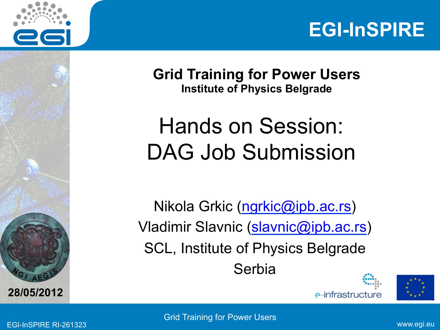



**Grid Training for Power Users Institute of Physics Belgrade** 

## Hands on Session: DAG Job Submission

Nikola Grkic (ngrkic@ipb.ac.rs) Vladimir Slavnic (slavnic@ipb.ac.rs) SCL, Institute of Physics Belgrade **Serbia** 





**A E <sup>G</sup>**

**28/05/2012**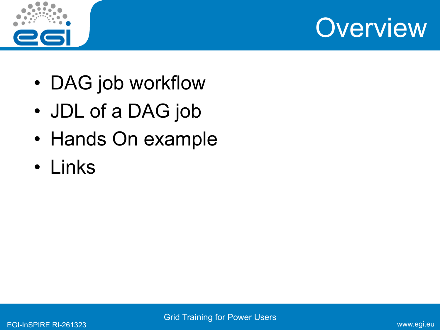



- DAG job workflow
- JDL of a DAG job
- Hands On example
- Links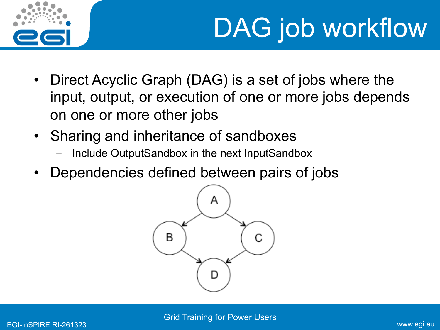

## DAG job workflow

- Direct Acyclic Graph (DAG) is a set of jobs where the input, output, or execution of one or more jobs depends on one or more other jobs
- Sharing and inheritance of sandboxes
	- − Include OutputSandbox in the next InputSandbox
- Dependencies defined between pairs of jobs

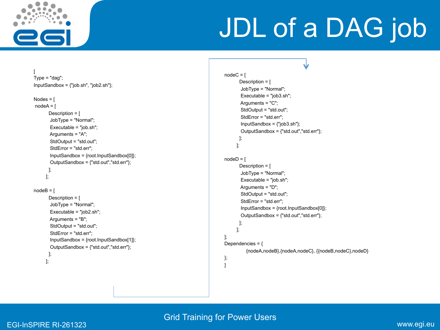

[

## JDL of a DAG job

```
V
                                                                                                nodeC = \lceilType = "dag"; Description = [ 
InputSandbox = {"job.sh", "job2.sh"}; 
                                                                                                         JobType = "Normal"; 
                                                                                                         Executable = "job3.sh"; 
Nodes = [ 
                                                                                                         Arguments = "C"; 
 nodeA = [ 
                                                                                                         StdOutput = "std.out"; 
        Description = [ 
                                                                                                         StdError = "std.err"; 
         JobType = "Normal"; 
                                                                                                         InputSandbox = {"job3.sh"}; 
         Executable = "job.sh"; 
                                                                                                         OutputSandbox = {"std.out","std.err"}; 
         Arguments = "A"; 
                                                                                                        ]; 
         StdOutput = "std.out"; 
                                                                                                       ]; 
         StdError = "std.err"; 
         InputSandbox = {root.InputSandbox[0]}; 
                                                                                                nodeD = [ OutputSandbox = {"std.out","std.err"}; 
                                                                                                        Description = [ 
        ]; 
                                                                                                         JobType = "Normal"; 
       ]; 
                                                                                                         Executable = "job.sh"; 
                                                                                                         Arguments = "D"; 
nodeB = [ StdOutput = "std.out"; 
        Description = [ 
                                                                                                         StdError = "std.err"; 
         JobType = "Normal"; 
                                                                                                         InputSandbox = {root.InputSandbox[0]}; 
         Executable = "job2.sh"; 
                                                                                                         OutputSandbox = {"std.out","std.err"}; 
         Arguments = "B"; 
                                                                                                        ]; 
         StdOutput = "std.out"; 
                                                                                                       ]; 
         StdError = "std.err"; 
                                                                                                ]; 
         InputSandbox = {root.InputSandbox[1]}; 
                                                                                                Dependencies = \{ OutputSandbox = {"std.out","std.err"}; 
                                                                                                           {nodeA,nodeB},{nodeA,nodeC}, {{nodeB,nodeC},nodeD} 
        ]; 
                                                                                               }; 
       ]; 
                                                                                               ]
```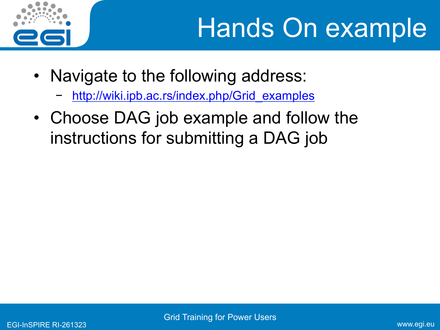

- Navigate to the following address:
	- http://wiki.ipb.ac.rs/index.php/Grid\_examples
- Choose DAG job example and follow the instructions for submitting a DAG job